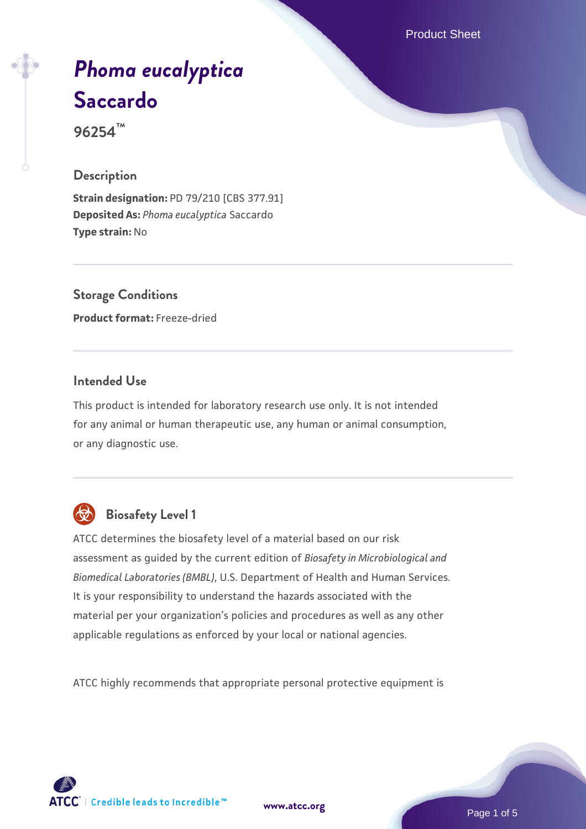Product Sheet

# *[Phoma eucalyptica](https://www.atcc.org/products/96254)* **[Saccardo](https://www.atcc.org/products/96254)**

**96254™**

## **Description**

**Strain designation:** PD 79/210 [CBS 377.91] **Deposited As:** *Phoma eucalyptica* Saccardo **Type strain:** No

**Storage Conditions Product format:** Freeze-dried

## **Intended Use**

This product is intended for laboratory research use only. It is not intended for any animal or human therapeutic use, any human or animal consumption, or any diagnostic use.



# **Biosafety Level 1**

ATCC determines the biosafety level of a material based on our risk assessment as guided by the current edition of *Biosafety in Microbiological and Biomedical Laboratories (BMBL)*, U.S. Department of Health and Human Services. It is your responsibility to understand the hazards associated with the material per your organization's policies and procedures as well as any other applicable regulations as enforced by your local or national agencies.

ATCC highly recommends that appropriate personal protective equipment is

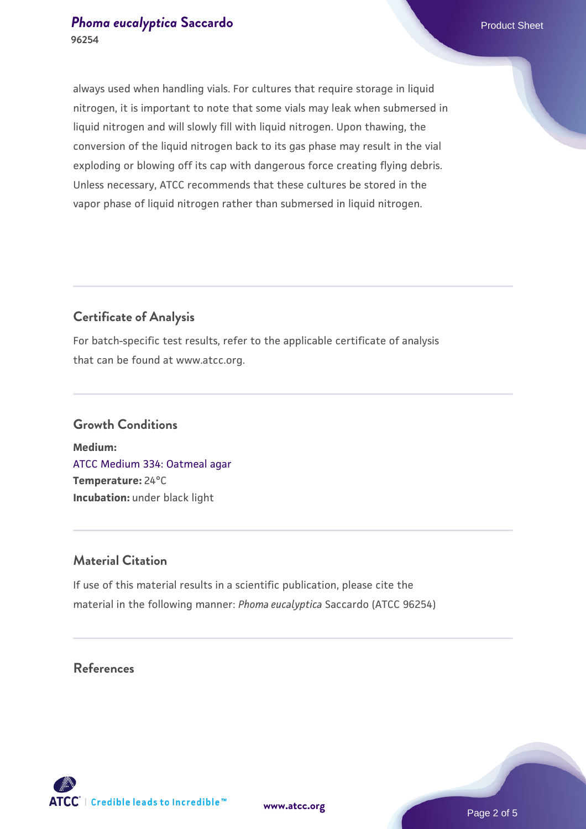## **[Phoma eucalyptica](https://www.atcc.org/products/96254) [Saccardo](https://www.atcc.org/products/96254)** Phoma eucalyptica Saccardo Product Sheet **96254**

always used when handling vials. For cultures that require storage in liquid nitrogen, it is important to note that some vials may leak when submersed in liquid nitrogen and will slowly fill with liquid nitrogen. Upon thawing, the conversion of the liquid nitrogen back to its gas phase may result in the vial exploding or blowing off its cap with dangerous force creating flying debris. Unless necessary, ATCC recommends that these cultures be stored in the vapor phase of liquid nitrogen rather than submersed in liquid nitrogen.

## **Certificate of Analysis**

For batch-specific test results, refer to the applicable certificate of analysis that can be found at www.atcc.org.

## **Growth Conditions**

**Medium:**  [ATCC Medium 334: Oatmeal agar](https://www.atcc.org/-/media/product-assets/documents/microbial-media-formulations/3/3/4/atcc-medium-334.pdf?rev=e382a75a48794764902dd7457c97fc29) **Temperature:** 24°C **Incubation:** under black light

## **Material Citation**

If use of this material results in a scientific publication, please cite the material in the following manner: *Phoma eucalyptica* Saccardo (ATCC 96254)

## **References**



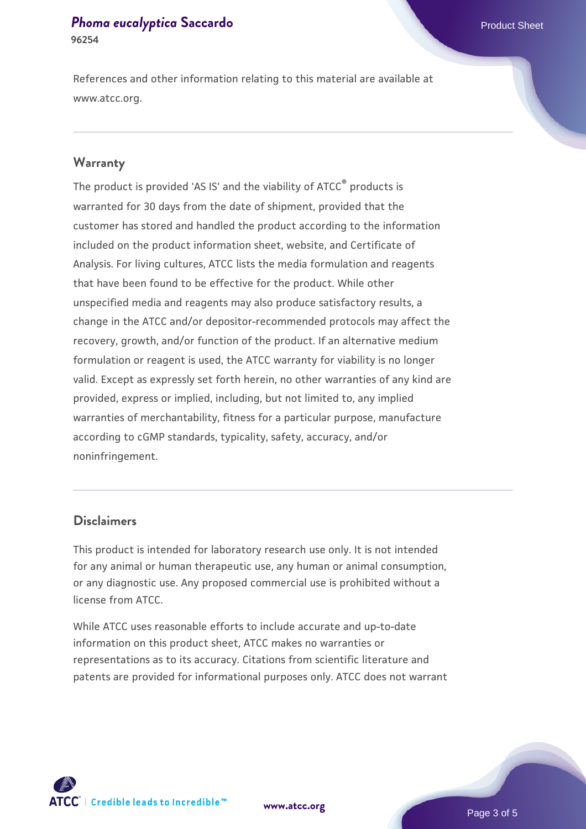#### **[Phoma eucalyptica](https://www.atcc.org/products/96254) [Saccardo](https://www.atcc.org/products/96254)** Phoma eucalyptica Saccardo Product Sheet **96254**

References and other information relating to this material are available at www.atcc.org.

## **Warranty**

The product is provided 'AS IS' and the viability of ATCC® products is warranted for 30 days from the date of shipment, provided that the customer has stored and handled the product according to the information included on the product information sheet, website, and Certificate of Analysis. For living cultures, ATCC lists the media formulation and reagents that have been found to be effective for the product. While other unspecified media and reagents may also produce satisfactory results, a change in the ATCC and/or depositor-recommended protocols may affect the recovery, growth, and/or function of the product. If an alternative medium formulation or reagent is used, the ATCC warranty for viability is no longer valid. Except as expressly set forth herein, no other warranties of any kind are provided, express or implied, including, but not limited to, any implied warranties of merchantability, fitness for a particular purpose, manufacture according to cGMP standards, typicality, safety, accuracy, and/or noninfringement.

## **Disclaimers**

This product is intended for laboratory research use only. It is not intended for any animal or human therapeutic use, any human or animal consumption, or any diagnostic use. Any proposed commercial use is prohibited without a license from ATCC.

While ATCC uses reasonable efforts to include accurate and up-to-date information on this product sheet, ATCC makes no warranties or representations as to its accuracy. Citations from scientific literature and patents are provided for informational purposes only. ATCC does not warrant

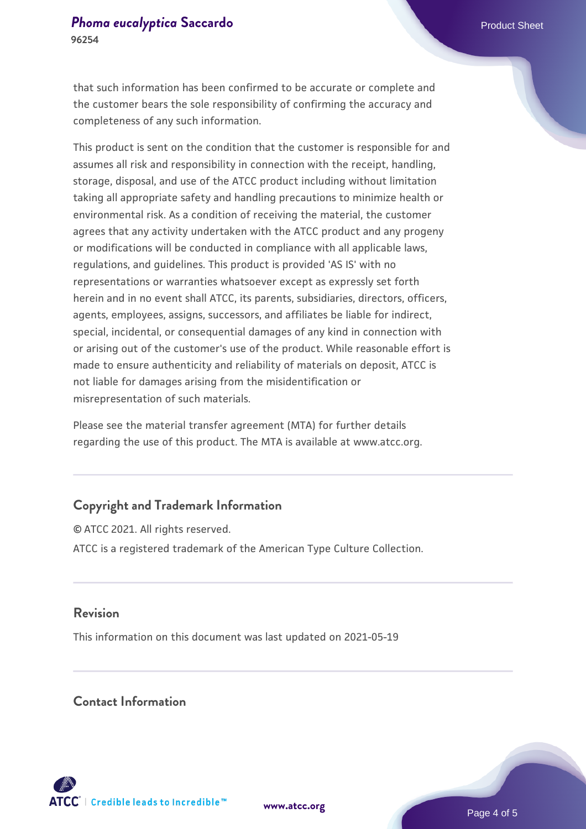#### **[Phoma eucalyptica](https://www.atcc.org/products/96254) [Saccardo](https://www.atcc.org/products/96254)** Phoma eucalyptica Saccardo Product Sheet **96254**

that such information has been confirmed to be accurate or complete and the customer bears the sole responsibility of confirming the accuracy and completeness of any such information.

This product is sent on the condition that the customer is responsible for and assumes all risk and responsibility in connection with the receipt, handling, storage, disposal, and use of the ATCC product including without limitation taking all appropriate safety and handling precautions to minimize health or environmental risk. As a condition of receiving the material, the customer agrees that any activity undertaken with the ATCC product and any progeny or modifications will be conducted in compliance with all applicable laws, regulations, and guidelines. This product is provided 'AS IS' with no representations or warranties whatsoever except as expressly set forth herein and in no event shall ATCC, its parents, subsidiaries, directors, officers, agents, employees, assigns, successors, and affiliates be liable for indirect, special, incidental, or consequential damages of any kind in connection with or arising out of the customer's use of the product. While reasonable effort is made to ensure authenticity and reliability of materials on deposit, ATCC is not liable for damages arising from the misidentification or misrepresentation of such materials.

Please see the material transfer agreement (MTA) for further details regarding the use of this product. The MTA is available at www.atcc.org.

## **Copyright and Trademark Information**

© ATCC 2021. All rights reserved. ATCC is a registered trademark of the American Type Culture Collection.

## **Revision**

This information on this document was last updated on 2021-05-19

## **Contact Information**



**[www.atcc.org](http://www.atcc.org)**